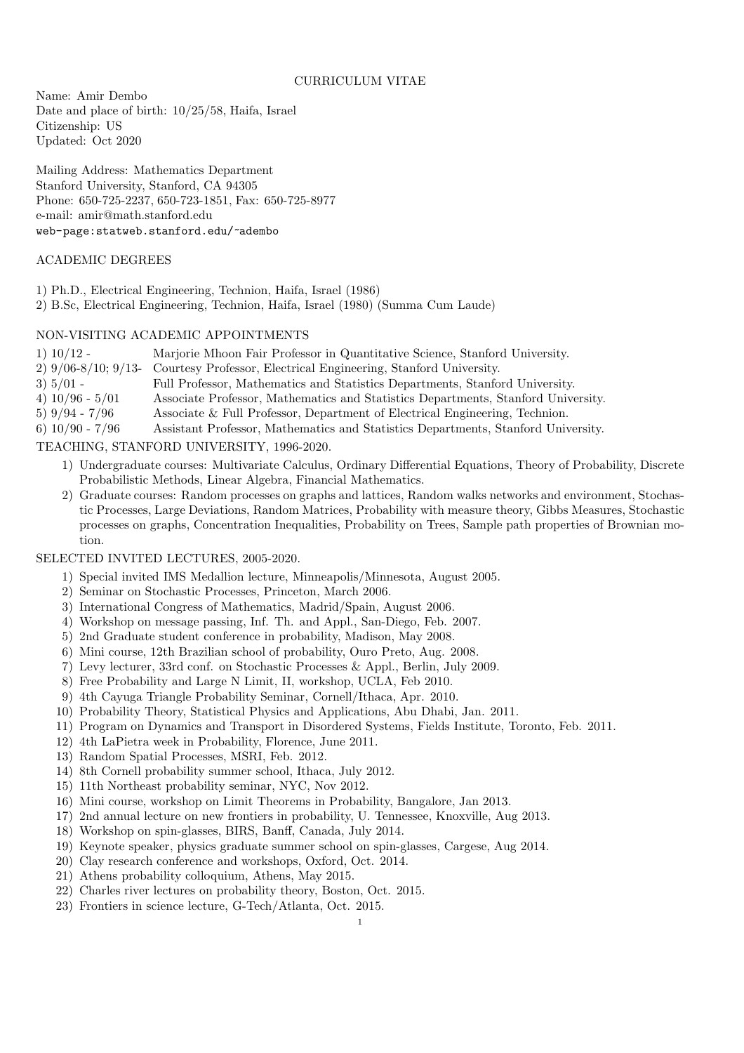## CURRICULUM VITAE

Name: Amir Dembo Date and place of birth: 10/25/58, Haifa, Israel Citizenship: US Updated: Oct 2020

Mailing Address: Mathematics Department Stanford University, Stanford, CA 94305 Phone: 650-725-2237, 650-723-1851, Fax: 650-725-8977 e-mail: amir@math.stanford.edu web-page:statweb.stanford.edu/~adembo

### ACADEMIC DEGREES

- 1) Ph.D., Electrical Engineering, Technion, Haifa, Israel (1986)
- 2) B.Sc, Electrical Engineering, Technion, Haifa, Israel (1980) (Summa Cum Laude)

# NON-VISITING ACADEMIC APPOINTMENTS

- 1) 10/12 Marjorie Mhoon Fair Professor in Quantitative Science, Stanford University. 2) 9/06-8/10; 9/13- Courtesy Professor, Electrical Engineering, Stanford University. 3) 5/01 - Full Professor, Mathematics and Statistics Departments, Stanford University. 4) 10/96 - 5/01 Associate Professor, Mathematics and Statistics Departments, Stanford University. 5) 9/94 - 7/96 Associate & Full Professor, Department of Electrical Engineering, Technion.
- 6) 10/90 7/96 Assistant Professor, Mathematics and Statistics Departments, Stanford University.

# TEACHING, STANFORD UNIVERSITY, 1996-2020.

- 1) Undergraduate courses: Multivariate Calculus, Ordinary Differential Equations, Theory of Probability, Discrete Probabilistic Methods, Linear Algebra, Financial Mathematics.
- 2) Graduate courses: Random processes on graphs and lattices, Random walks networks and environment, Stochastic Processes, Large Deviations, Random Matrices, Probability with measure theory, Gibbs Measures, Stochastic processes on graphs, Concentration Inequalities, Probability on Trees, Sample path properties of Brownian motion.

# SELECTED INVITED LECTURES, 2005-2020.

- 1) Special invited IMS Medallion lecture, Minneapolis/Minnesota, August 2005.
- 2) Seminar on Stochastic Processes, Princeton, March 2006.
- 3) International Congress of Mathematics, Madrid/Spain, August 2006.
- 4) Workshop on message passing, Inf. Th. and Appl., San-Diego, Feb. 2007.
- 5) 2nd Graduate student conference in probability, Madison, May 2008.
- 6) Mini course, 12th Brazilian school of probability, Ouro Preto, Aug. 2008.
- 7) Levy lecturer, 33rd conf. on Stochastic Processes & Appl., Berlin, July 2009.
- 8) Free Probability and Large N Limit, II, workshop, UCLA, Feb 2010.
- 9) 4th Cayuga Triangle Probability Seminar, Cornell/Ithaca, Apr. 2010.
- 10) Probability Theory, Statistical Physics and Applications, Abu Dhabi, Jan. 2011.
- 11) Program on Dynamics and Transport in Disordered Systems, Fields Institute, Toronto, Feb. 2011.
- 12) 4th LaPietra week in Probability, Florence, June 2011.
- 13) Random Spatial Processes, MSRI, Feb. 2012.
- 14) 8th Cornell probability summer school, Ithaca, July 2012.
- 15) 11th Northeast probability seminar, NYC, Nov 2012.
- 16) Mini course, workshop on Limit Theorems in Probability, Bangalore, Jan 2013.
- 17) 2nd annual lecture on new frontiers in probability, U. Tennessee, Knoxville, Aug 2013.
- 18) Workshop on spin-glasses, BIRS, Banff, Canada, July 2014.
- 19) Keynote speaker, physics graduate summer school on spin-glasses, Cargese, Aug 2014.
- 20) Clay research conference and workshops, Oxford, Oct. 2014.
- 21) Athens probability colloquium, Athens, May 2015.
- 22) Charles river lectures on probability theory, Boston, Oct. 2015.
- 23) Frontiers in science lecture, G-Tech/Atlanta, Oct. 2015.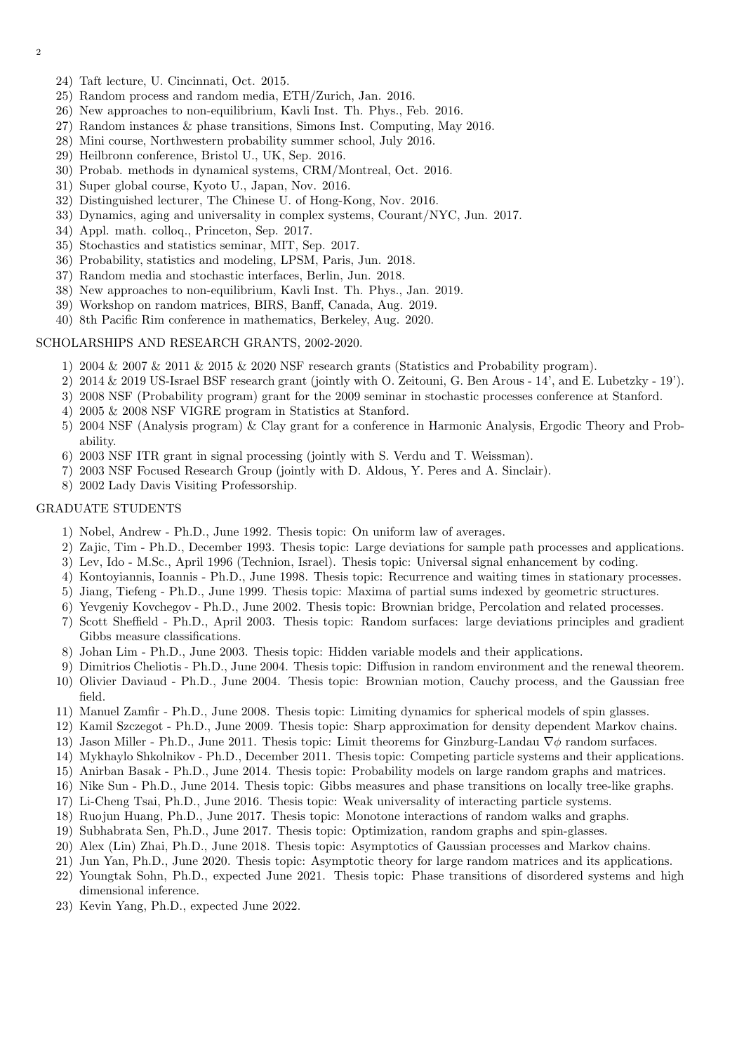2

- 24) Taft lecture, U. Cincinnati, Oct. 2015.
- 25) Random process and random media, ETH/Zurich, Jan. 2016.
- 26) New approaches to non-equilibrium, Kavli Inst. Th. Phys., Feb. 2016.
- 27) Random instances & phase transitions, Simons Inst. Computing, May 2016.
- 28) Mini course, Northwestern probability summer school, July 2016.
- 29) Heilbronn conference, Bristol U., UK, Sep. 2016.
- 30) Probab. methods in dynamical systems, CRM/Montreal, Oct. 2016.
- 31) Super global course, Kyoto U., Japan, Nov. 2016.
- 32) Distinguished lecturer, The Chinese U. of Hong-Kong, Nov. 2016.
- 33) Dynamics, aging and universality in complex systems, Courant/NYC, Jun. 2017.
- 34) Appl. math. colloq., Princeton, Sep. 2017.
- 35) Stochastics and statistics seminar, MIT, Sep. 2017.
- 36) Probability, statistics and modeling, LPSM, Paris, Jun. 2018.
- 37) Random media and stochastic interfaces, Berlin, Jun. 2018.
- 38) New approaches to non-equilibrium, Kavli Inst. Th. Phys., Jan. 2019.
- 39) Workshop on random matrices, BIRS, Banff, Canada, Aug. 2019.
- 40) 8th Pacific Rim conference in mathematics, Berkeley, Aug. 2020.

#### SCHOLARSHIPS AND RESEARCH GRANTS, 2002-2020.

- 1) 2004  $\&$  2007  $\&$  2011  $\&$  2015  $\&$  2020 NSF research grants (Statistics and Probability program).
- 2) 2014 & 2019 US-Israel BSF research grant (jointly with O. Zeitouni, G. Ben Arous 14', and E. Lubetzky 19').
- 3) 2008 NSF (Probability program) grant for the 2009 seminar in stochastic processes conference at Stanford.
- 4) 2005 & 2008 NSF VIGRE program in Statistics at Stanford.
- 5) 2004 NSF (Analysis program) & Clay grant for a conference in Harmonic Analysis, Ergodic Theory and Probability.
- 6) 2003 NSF ITR grant in signal processing (jointly with S. Verdu and T. Weissman).
- 7) 2003 NSF Focused Research Group (jointly with D. Aldous, Y. Peres and A. Sinclair).
- 8) 2002 Lady Davis Visiting Professorship.

#### GRADUATE STUDENTS

- 1) Nobel, Andrew Ph.D., June 1992. Thesis topic: On uniform law of averages.
- 2) Zajic, Tim Ph.D., December 1993. Thesis topic: Large deviations for sample path processes and applications.
- 3) Lev, Ido M.Sc., April 1996 (Technion, Israel). Thesis topic: Universal signal enhancement by coding.
- 4) Kontoyiannis, Ioannis Ph.D., June 1998. Thesis topic: Recurrence and waiting times in stationary processes.
- 5) Jiang, Tiefeng Ph.D., June 1999. Thesis topic: Maxima of partial sums indexed by geometric structures.
- 6) Yevgeniy Kovchegov Ph.D., June 2002. Thesis topic: Brownian bridge, Percolation and related processes.
- 7) Scott Sheffield Ph.D., April 2003. Thesis topic: Random surfaces: large deviations principles and gradient Gibbs measure classifications.
- 8) Johan Lim Ph.D., June 2003. Thesis topic: Hidden variable models and their applications.
- 9) Dimitrios Cheliotis Ph.D., June 2004. Thesis topic: Diffusion in random environment and the renewal theorem.
- 10) Olivier Daviaud Ph.D., June 2004. Thesis topic: Brownian motion, Cauchy process, and the Gaussian free field.
- 11) Manuel Zamfir Ph.D., June 2008. Thesis topic: Limiting dynamics for spherical models of spin glasses.
- 12) Kamil Szczegot Ph.D., June 2009. Thesis topic: Sharp approximation for density dependent Markov chains.
- 13) Jason Miller Ph.D., June 2011. Thesis topic: Limit theorems for Ginzburg-Landau  $\nabla \phi$  random surfaces.
- 14) Mykhaylo Shkolnikov Ph.D., December 2011. Thesis topic: Competing particle systems and their applications.
- 15) Anirban Basak Ph.D., June 2014. Thesis topic: Probability models on large random graphs and matrices.
- 16) Nike Sun Ph.D., June 2014. Thesis topic: Gibbs measures and phase transitions on locally tree-like graphs.
- 17) Li-Cheng Tsai, Ph.D., June 2016. Thesis topic: Weak universality of interacting particle systems.
- 18) Ruojun Huang, Ph.D., June 2017. Thesis topic: Monotone interactions of random walks and graphs.
- 19) Subhabrata Sen, Ph.D., June 2017. Thesis topic: Optimization, random graphs and spin-glasses.
- 20) Alex (Lin) Zhai, Ph.D., June 2018. Thesis topic: Asymptotics of Gaussian processes and Markov chains.
- 21) Jun Yan, Ph.D., June 2020. Thesis topic: Asymptotic theory for large random matrices and its applications.
- 22) Youngtak Sohn, Ph.D., expected June 2021. Thesis topic: Phase transitions of disordered systems and high dimensional inference.
- 23) Kevin Yang, Ph.D., expected June 2022.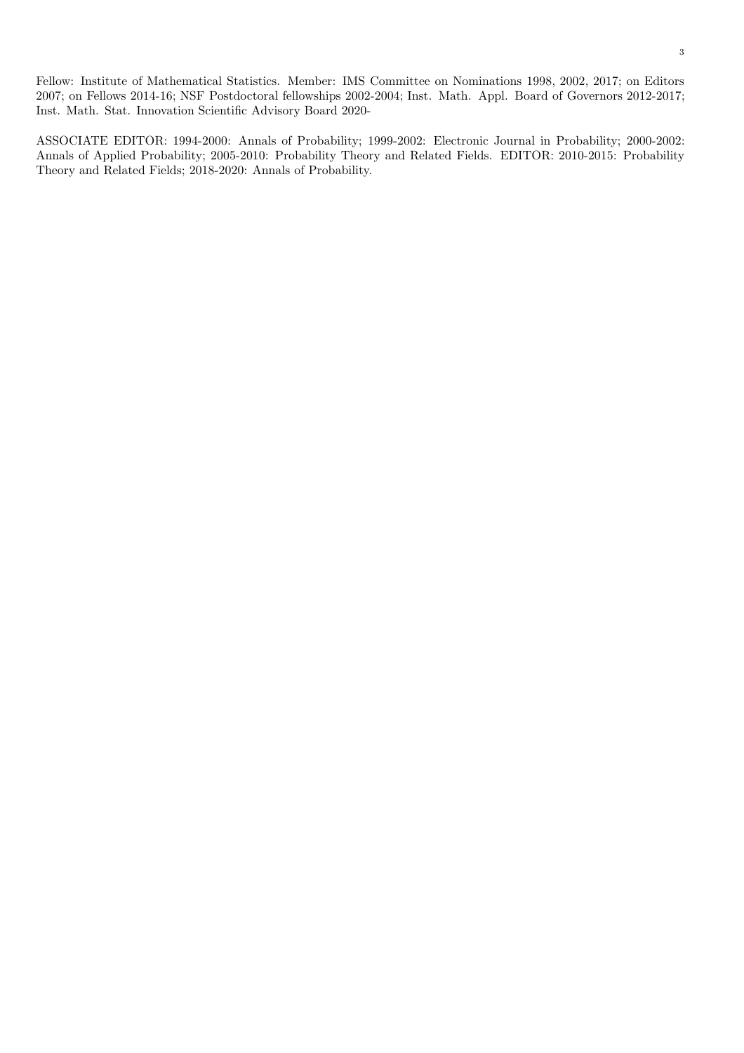Fellow: Institute of Mathematical Statistics. Member: IMS Committee on Nominations 1998, 2002, 2017; on Editors 2007; on Fellows 2014-16; NSF Postdoctoral fellowships 2002-2004; Inst. Math. Appl. Board of Governors 2012-2017; Inst. Math. Stat. Innovation Scientific Advisory Board 2020-

ASSOCIATE EDITOR: 1994-2000: Annals of Probability; 1999-2002: Electronic Journal in Probability; 2000-2002: Annals of Applied Probability; 2005-2010: Probability Theory and Related Fields. EDITOR: 2010-2015: Probability Theory and Related Fields; 2018-2020: Annals of Probability.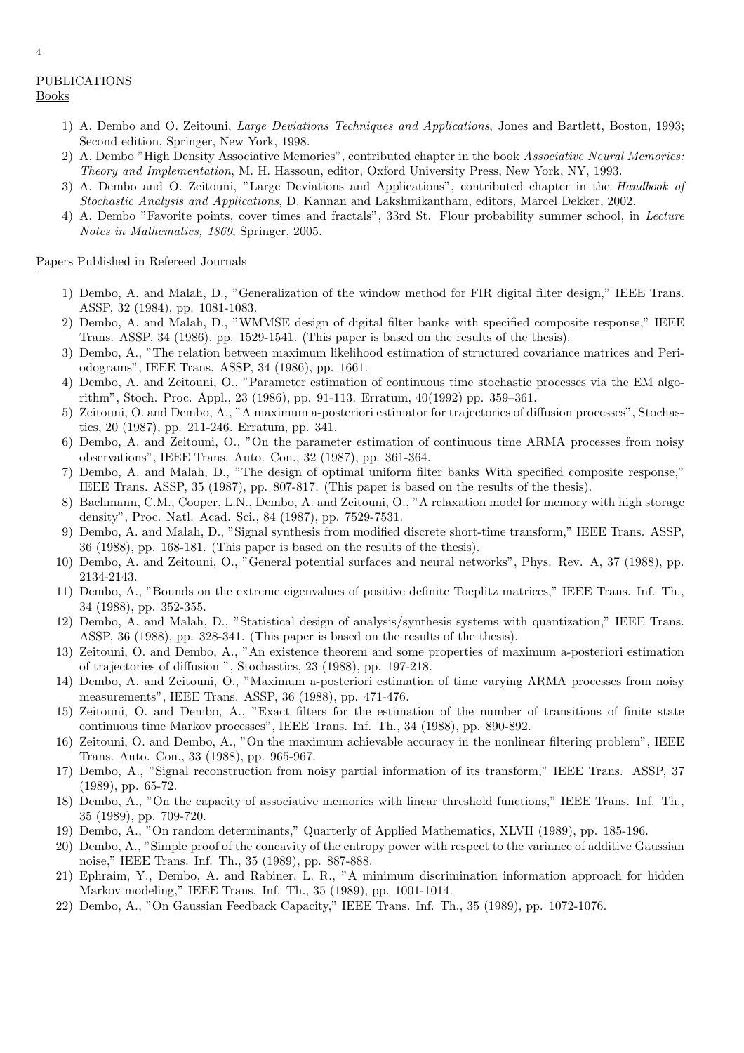- 1) A. Dembo and O. Zeitouni, Large Deviations Techniques and Applications, Jones and Bartlett, Boston, 1993; Second edition, Springer, New York, 1998.
- 2) A. Dembo "High Density Associative Memories", contributed chapter in the book Associative Neural Memories: Theory and Implementation, M. H. Hassoun, editor, Oxford University Press, New York, NY, 1993.
- 3) A. Dembo and O. Zeitouni, "Large Deviations and Applications", contributed chapter in the Handbook of Stochastic Analysis and Applications, D. Kannan and Lakshmikantham, editors, Marcel Dekker, 2002.
- 4) A. Dembo "Favorite points, cover times and fractals", 33rd St. Flour probability summer school, in Lecture Notes in Mathematics, 1869, Springer, 2005.

# Papers Published in Refereed Journals

- 1) Dembo, A. and Malah, D., "Generalization of the window method for FIR digital filter design," IEEE Trans. ASSP, 32 (1984), pp. 1081-1083.
- 2) Dembo, A. and Malah, D., "WMMSE design of digital filter banks with specified composite response," IEEE Trans. ASSP, 34 (1986), pp. 1529-1541. (This paper is based on the results of the thesis).
- 3) Dembo, A., "The relation between maximum likelihood estimation of structured covariance matrices and Periodograms", IEEE Trans. ASSP, 34 (1986), pp. 1661.
- 4) Dembo, A. and Zeitouni, O., "Parameter estimation of continuous time stochastic processes via the EM algorithm", Stoch. Proc. Appl., 23 (1986), pp. 91-113. Erratum, 40(1992) pp. 359–361.
- 5) Zeitouni, O. and Dembo, A., "A maximum a-posteriori estimator for trajectories of diffusion processes", Stochastics, 20 (1987), pp. 211-246. Erratum, pp. 341.
- 6) Dembo, A. and Zeitouni, O., "On the parameter estimation of continuous time ARMA processes from noisy observations", IEEE Trans. Auto. Con., 32 (1987), pp. 361-364.
- 7) Dembo, A. and Malah, D., "The design of optimal uniform filter banks With specified composite response," IEEE Trans. ASSP, 35 (1987), pp. 807-817. (This paper is based on the results of the thesis).
- 8) Bachmann, C.M., Cooper, L.N., Dembo, A. and Zeitouni, O., "A relaxation model for memory with high storage density", Proc. Natl. Acad. Sci., 84 (1987), pp. 7529-7531.
- 9) Dembo, A. and Malah, D., "Signal synthesis from modified discrete short-time transform," IEEE Trans. ASSP, 36 (1988), pp. 168-181. (This paper is based on the results of the thesis).
- 10) Dembo, A. and Zeitouni, O., "General potential surfaces and neural networks", Phys. Rev. A, 37 (1988), pp. 2134-2143.
- 11) Dembo, A., "Bounds on the extreme eigenvalues of positive definite Toeplitz matrices," IEEE Trans. Inf. Th., 34 (1988), pp. 352-355.
- 12) Dembo, A. and Malah, D., "Statistical design of analysis/synthesis systems with quantization," IEEE Trans. ASSP, 36 (1988), pp. 328-341. (This paper is based on the results of the thesis).
- 13) Zeitouni, O. and Dembo, A., "An existence theorem and some properties of maximum a-posteriori estimation of trajectories of diffusion ", Stochastics, 23 (1988), pp. 197-218.
- 14) Dembo, A. and Zeitouni, O., "Maximum a-posteriori estimation of time varying ARMA processes from noisy measurements", IEEE Trans. ASSP, 36 (1988), pp. 471-476.
- 15) Zeitouni, O. and Dembo, A., "Exact filters for the estimation of the number of transitions of finite state continuous time Markov processes", IEEE Trans. Inf. Th., 34 (1988), pp. 890-892.
- 16) Zeitouni, O. and Dembo, A., "On the maximum achievable accuracy in the nonlinear filtering problem", IEEE Trans. Auto. Con., 33 (1988), pp. 965-967.
- 17) Dembo, A., "Signal reconstruction from noisy partial information of its transform," IEEE Trans. ASSP, 37 (1989), pp. 65-72.
- 18) Dembo, A., "On the capacity of associative memories with linear threshold functions," IEEE Trans. Inf. Th., 35 (1989), pp. 709-720.
- 19) Dembo, A., "On random determinants," Quarterly of Applied Mathematics, XLVII (1989), pp. 185-196.
- 20) Dembo, A., "Simple proof of the concavity of the entropy power with respect to the variance of additive Gaussian noise," IEEE Trans. Inf. Th., 35 (1989), pp. 887-888.
- 21) Ephraim, Y., Dembo, A. and Rabiner, L. R., "A minimum discrimination information approach for hidden Markov modeling," IEEE Trans. Inf. Th., 35 (1989), pp. 1001-1014.
- 22) Dembo, A., "On Gaussian Feedback Capacity," IEEE Trans. Inf. Th., 35 (1989), pp. 1072-1076.

4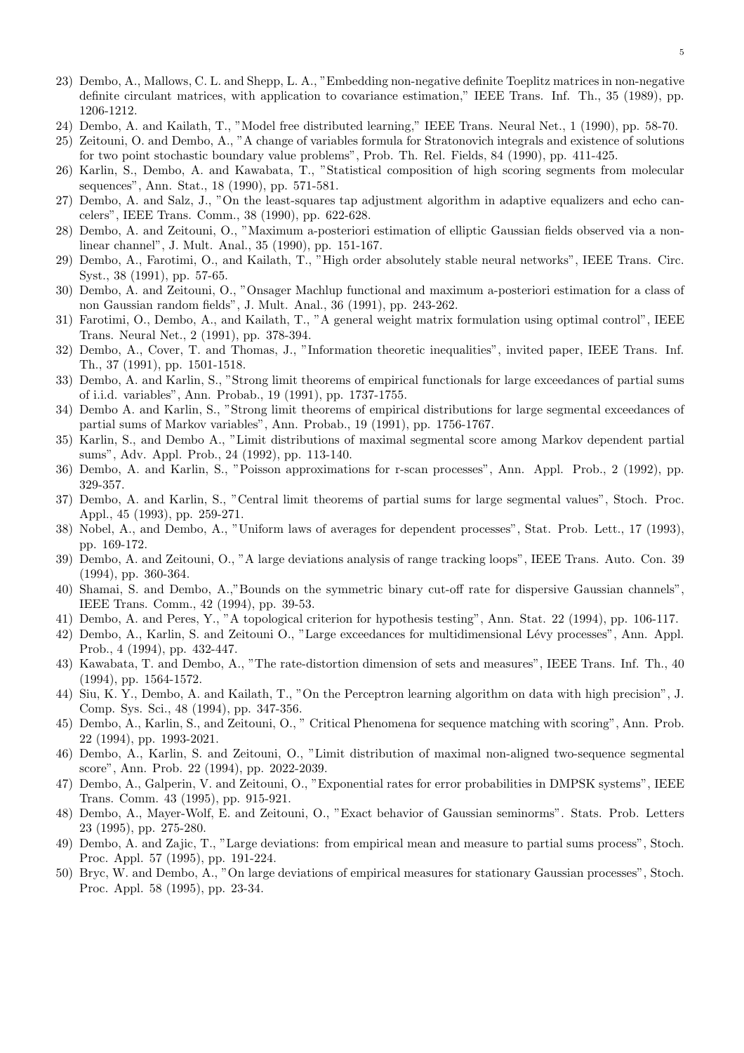- 23) Dembo, A., Mallows, C. L. and Shepp, L. A., "Embedding non-negative definite Toeplitz matrices in non-negative definite circulant matrices, with application to covariance estimation," IEEE Trans. Inf. Th., 35 (1989), pp. 1206-1212.
- 24) Dembo, A. and Kailath, T., "Model free distributed learning," IEEE Trans. Neural Net., 1 (1990), pp. 58-70.
- 25) Zeitouni, O. and Dembo, A., "A change of variables formula for Stratonovich integrals and existence of solutions for two point stochastic boundary value problems", Prob. Th. Rel. Fields, 84 (1990), pp. 411-425.
- 26) Karlin, S., Dembo, A. and Kawabata, T., "Statistical composition of high scoring segments from molecular sequences", Ann. Stat., 18 (1990), pp. 571-581.
- 27) Dembo, A. and Salz, J., "On the least-squares tap adjustment algorithm in adaptive equalizers and echo cancelers", IEEE Trans. Comm., 38 (1990), pp. 622-628.
- 28) Dembo, A. and Zeitouni, O., "Maximum a-posteriori estimation of elliptic Gaussian fields observed via a nonlinear channel", J. Mult. Anal., 35 (1990), pp. 151-167.
- 29) Dembo, A., Farotimi, O., and Kailath, T., "High order absolutely stable neural networks", IEEE Trans. Circ. Syst., 38 (1991), pp. 57-65.
- 30) Dembo, A. and Zeitouni, O., "Onsager Machlup functional and maximum a-posteriori estimation for a class of non Gaussian random fields", J. Mult. Anal., 36 (1991), pp. 243-262.
- 31) Farotimi, O., Dembo, A., and Kailath, T., "A general weight matrix formulation using optimal control", IEEE Trans. Neural Net., 2 (1991), pp. 378-394.
- 32) Dembo, A., Cover, T. and Thomas, J., "Information theoretic inequalities", invited paper, IEEE Trans. Inf. Th., 37 (1991), pp. 1501-1518.
- 33) Dembo, A. and Karlin, S., "Strong limit theorems of empirical functionals for large exceedances of partial sums of i.i.d. variables", Ann. Probab., 19 (1991), pp. 1737-1755.
- 34) Dembo A. and Karlin, S., "Strong limit theorems of empirical distributions for large segmental exceedances of partial sums of Markov variables", Ann. Probab., 19 (1991), pp. 1756-1767.
- 35) Karlin, S., and Dembo A., "Limit distributions of maximal segmental score among Markov dependent partial sums", Adv. Appl. Prob., 24 (1992), pp. 113-140.
- 36) Dembo, A. and Karlin, S., "Poisson approximations for r-scan processes", Ann. Appl. Prob., 2 (1992), pp. 329-357.
- 37) Dembo, A. and Karlin, S., "Central limit theorems of partial sums for large segmental values", Stoch. Proc. Appl., 45 (1993), pp. 259-271.
- 38) Nobel, A., and Dembo, A., "Uniform laws of averages for dependent processes", Stat. Prob. Lett., 17 (1993), pp. 169-172.
- 39) Dembo, A. and Zeitouni, O., "A large deviations analysis of range tracking loops", IEEE Trans. Auto. Con. 39 (1994), pp. 360-364.
- 40) Shamai, S. and Dembo, A.,"Bounds on the symmetric binary cut-off rate for dispersive Gaussian channels", IEEE Trans. Comm., 42 (1994), pp. 39-53.
- 41) Dembo, A. and Peres, Y., "A topological criterion for hypothesis testing", Ann. Stat. 22 (1994), pp. 106-117.
- 42) Dembo, A., Karlin, S. and Zeitouni O., "Large exceedances for multidimensional Lévy processes", Ann. Appl. Prob., 4 (1994), pp. 432-447.
- 43) Kawabata, T. and Dembo, A., "The rate-distortion dimension of sets and measures", IEEE Trans. Inf. Th., 40 (1994), pp. 1564-1572.
- 44) Siu, K. Y., Dembo, A. and Kailath, T., "On the Perceptron learning algorithm on data with high precision", J. Comp. Sys. Sci., 48 (1994), pp. 347-356.
- 45) Dembo, A., Karlin, S., and Zeitouni, O., " Critical Phenomena for sequence matching with scoring", Ann. Prob. 22 (1994), pp. 1993-2021.
- 46) Dembo, A., Karlin, S. and Zeitouni, O., "Limit distribution of maximal non-aligned two-sequence segmental score", Ann. Prob. 22 (1994), pp. 2022-2039.
- 47) Dembo, A., Galperin, V. and Zeitouni, O., "Exponential rates for error probabilities in DMPSK systems", IEEE Trans. Comm. 43 (1995), pp. 915-921.
- 48) Dembo, A., Mayer-Wolf, E. and Zeitouni, O., "Exact behavior of Gaussian seminorms". Stats. Prob. Letters 23 (1995), pp. 275-280.
- 49) Dembo, A. and Zajic, T., "Large deviations: from empirical mean and measure to partial sums process", Stoch. Proc. Appl. 57 (1995), pp. 191-224.
- 50) Bryc, W. and Dembo, A., "On large deviations of empirical measures for stationary Gaussian processes", Stoch. Proc. Appl. 58 (1995), pp. 23-34.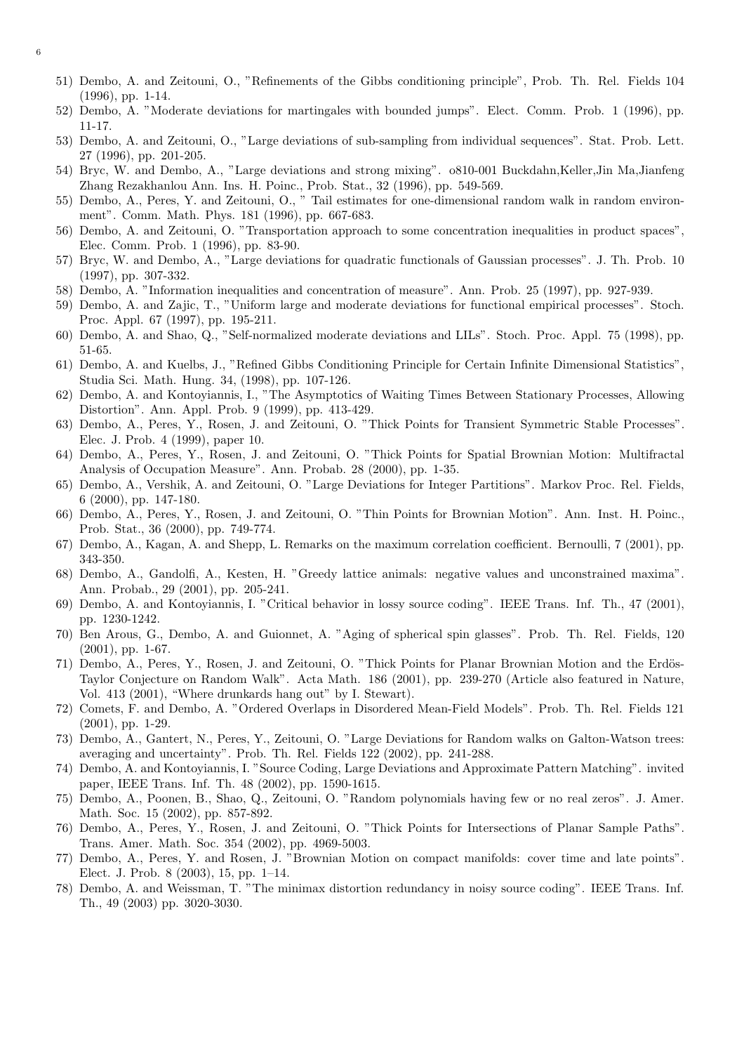- 51) Dembo, A. and Zeitouni, O., "Refinements of the Gibbs conditioning principle", Prob. Th. Rel. Fields 104 (1996), pp. 1-14.
- 52) Dembo, A. "Moderate deviations for martingales with bounded jumps". Elect. Comm. Prob. 1 (1996), pp. 11-17.
- 53) Dembo, A. and Zeitouni, O., "Large deviations of sub-sampling from individual sequences". Stat. Prob. Lett. 27 (1996), pp. 201-205.
- 54) Bryc, W. and Dembo, A., "Large deviations and strong mixing". o810-001 Buckdahn,Keller,Jin Ma,Jianfeng Zhang Rezakhanlou Ann. Ins. H. Poinc., Prob. Stat., 32 (1996), pp. 549-569.
- 55) Dembo, A., Peres, Y. and Zeitouni, O., " Tail estimates for one-dimensional random walk in random environment". Comm. Math. Phys. 181 (1996), pp. 667-683.
- 56) Dembo, A. and Zeitouni, O. "Transportation approach to some concentration inequalities in product spaces", Elec. Comm. Prob. 1 (1996), pp. 83-90.
- 57) Bryc, W. and Dembo, A., "Large deviations for quadratic functionals of Gaussian processes". J. Th. Prob. 10 (1997), pp. 307-332.
- 58) Dembo, A. "Information inequalities and concentration of measure". Ann. Prob. 25 (1997), pp. 927-939.
- 59) Dembo, A. and Zajic, T., "Uniform large and moderate deviations for functional empirical processes". Stoch. Proc. Appl. 67 (1997), pp. 195-211.
- 60) Dembo, A. and Shao, Q., "Self-normalized moderate deviations and LILs". Stoch. Proc. Appl. 75 (1998), pp. 51-65.
- 61) Dembo, A. and Kuelbs, J., "Refined Gibbs Conditioning Principle for Certain Infinite Dimensional Statistics", Studia Sci. Math. Hung. 34, (1998), pp. 107-126.
- 62) Dembo, A. and Kontoyiannis, I., "The Asymptotics of Waiting Times Between Stationary Processes, Allowing Distortion". Ann. Appl. Prob. 9 (1999), pp. 413-429.
- 63) Dembo, A., Peres, Y., Rosen, J. and Zeitouni, O. "Thick Points for Transient Symmetric Stable Processes". Elec. J. Prob. 4 (1999), paper 10.
- 64) Dembo, A., Peres, Y., Rosen, J. and Zeitouni, O. "Thick Points for Spatial Brownian Motion: Multifractal Analysis of Occupation Measure". Ann. Probab. 28 (2000), pp. 1-35.
- 65) Dembo, A., Vershik, A. and Zeitouni, O. "Large Deviations for Integer Partitions". Markov Proc. Rel. Fields, 6 (2000), pp. 147-180.
- 66) Dembo, A., Peres, Y., Rosen, J. and Zeitouni, O. "Thin Points for Brownian Motion". Ann. Inst. H. Poinc., Prob. Stat., 36 (2000), pp. 749-774.
- 67) Dembo, A., Kagan, A. and Shepp, L. Remarks on the maximum correlation coefficient. Bernoulli, 7 (2001), pp. 343-350.
- 68) Dembo, A., Gandolfi, A., Kesten, H. "Greedy lattice animals: negative values and unconstrained maxima". Ann. Probab., 29 (2001), pp. 205-241.
- 69) Dembo, A. and Kontoyiannis, I. "Critical behavior in lossy source coding". IEEE Trans. Inf. Th., 47 (2001), pp. 1230-1242.
- 70) Ben Arous, G., Dembo, A. and Guionnet, A. "Aging of spherical spin glasses". Prob. Th. Rel. Fields, 120 (2001), pp. 1-67.
- 71) Dembo, A., Peres, Y., Rosen, J. and Zeitouni, O. "Thick Points for Planar Brownian Motion and the Erdös-Taylor Conjecture on Random Walk". Acta Math. 186 (2001), pp. 239-270 (Article also featured in Nature, Vol. 413 (2001), "Where drunkards hang out" by I. Stewart).
- 72) Comets, F. and Dembo, A. "Ordered Overlaps in Disordered Mean-Field Models". Prob. Th. Rel. Fields 121 (2001), pp. 1-29.
- 73) Dembo, A., Gantert, N., Peres, Y., Zeitouni, O. "Large Deviations for Random walks on Galton-Watson trees: averaging and uncertainty". Prob. Th. Rel. Fields 122 (2002), pp. 241-288.
- 74) Dembo, A. and Kontoyiannis, I. "Source Coding, Large Deviations and Approximate Pattern Matching". invited paper, IEEE Trans. Inf. Th. 48 (2002), pp. 1590-1615.
- 75) Dembo, A., Poonen, B., Shao, Q., Zeitouni, O. "Random polynomials having few or no real zeros". J. Amer. Math. Soc. 15 (2002), pp. 857-892.
- 76) Dembo, A., Peres, Y., Rosen, J. and Zeitouni, O. "Thick Points for Intersections of Planar Sample Paths". Trans. Amer. Math. Soc. 354 (2002), pp. 4969-5003.
- 77) Dembo, A., Peres, Y. and Rosen, J. "Brownian Motion on compact manifolds: cover time and late points". Elect. J. Prob. 8 (2003), 15, pp. 1–14.
- 78) Dembo, A. and Weissman, T. "The minimax distortion redundancy in noisy source coding". IEEE Trans. Inf. Th., 49 (2003) pp. 3020-3030.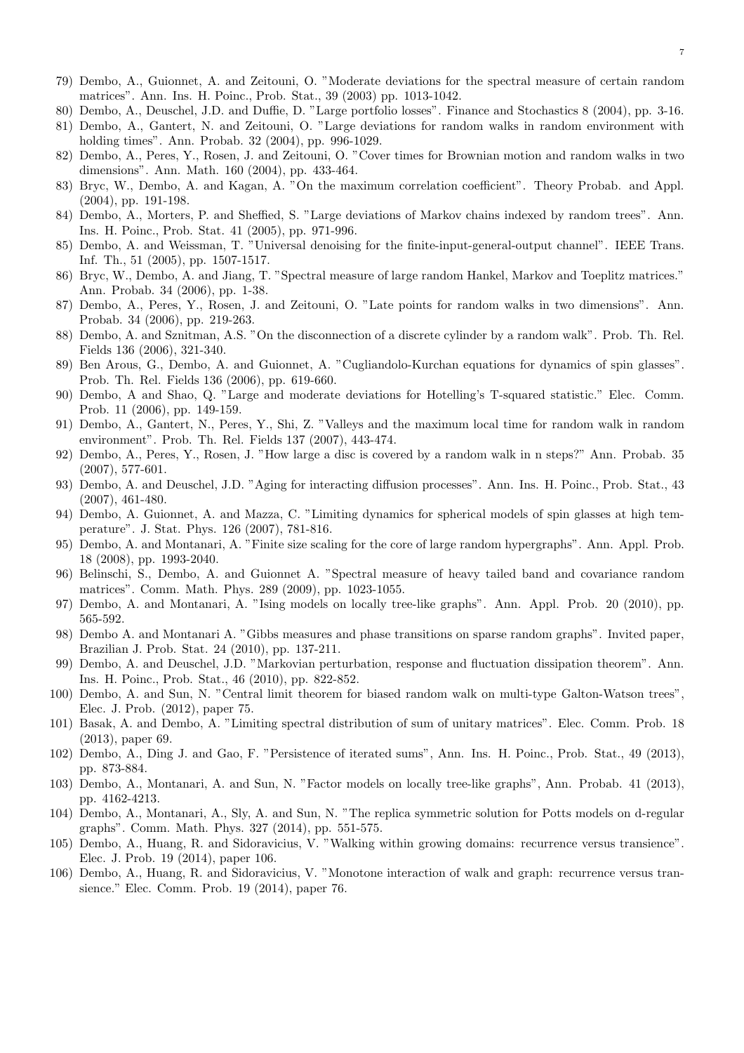- 79) Dembo, A., Guionnet, A. and Zeitouni, O. "Moderate deviations for the spectral measure of certain random matrices". Ann. Ins. H. Poinc., Prob. Stat., 39 (2003) pp. 1013-1042.
- 80) Dembo, A., Deuschel, J.D. and Duffie, D. "Large portfolio losses". Finance and Stochastics 8 (2004), pp. 3-16.
- 81) Dembo, A., Gantert, N. and Zeitouni, O. "Large deviations for random walks in random environment with holding times". Ann. Probab. 32 (2004), pp. 996-1029.
- 82) Dembo, A., Peres, Y., Rosen, J. and Zeitouni, O. "Cover times for Brownian motion and random walks in two dimensions". Ann. Math. 160 (2004), pp. 433-464.
- 83) Bryc, W., Dembo, A. and Kagan, A. "On the maximum correlation coefficient". Theory Probab. and Appl. (2004), pp. 191-198.
- 84) Dembo, A., Morters, P. and Sheffied, S. "Large deviations of Markov chains indexed by random trees". Ann. Ins. H. Poinc., Prob. Stat. 41 (2005), pp. 971-996.
- 85) Dembo, A. and Weissman, T. "Universal denoising for the finite-input-general-output channel". IEEE Trans. Inf. Th., 51 (2005), pp. 1507-1517.
- 86) Bryc, W., Dembo, A. and Jiang, T. "Spectral measure of large random Hankel, Markov and Toeplitz matrices." Ann. Probab. 34 (2006), pp. 1-38.
- 87) Dembo, A., Peres, Y., Rosen, J. and Zeitouni, O. "Late points for random walks in two dimensions". Ann. Probab. 34 (2006), pp. 219-263.
- 88) Dembo, A. and Sznitman, A.S. "On the disconnection of a discrete cylinder by a random walk". Prob. Th. Rel. Fields 136 (2006), 321-340.
- 89) Ben Arous, G., Dembo, A. and Guionnet, A. "Cugliandolo-Kurchan equations for dynamics of spin glasses". Prob. Th. Rel. Fields 136 (2006), pp. 619-660.
- 90) Dembo, A and Shao, Q. "Large and moderate deviations for Hotelling's T-squared statistic." Elec. Comm. Prob. 11 (2006), pp. 149-159.
- 91) Dembo, A., Gantert, N., Peres, Y., Shi, Z. "Valleys and the maximum local time for random walk in random environment". Prob. Th. Rel. Fields 137 (2007), 443-474.
- 92) Dembo, A., Peres, Y., Rosen, J. "How large a disc is covered by a random walk in n steps?" Ann. Probab. 35 (2007), 577-601.
- 93) Dembo, A. and Deuschel, J.D. "Aging for interacting diffusion processes". Ann. Ins. H. Poinc., Prob. Stat., 43 (2007), 461-480.
- 94) Dembo, A. Guionnet, A. and Mazza, C. "Limiting dynamics for spherical models of spin glasses at high temperature". J. Stat. Phys. 126 (2007), 781-816.
- 95) Dembo, A. and Montanari, A. "Finite size scaling for the core of large random hypergraphs". Ann. Appl. Prob. 18 (2008), pp. 1993-2040.
- 96) Belinschi, S., Dembo, A. and Guionnet A. "Spectral measure of heavy tailed band and covariance random matrices". Comm. Math. Phys. 289 (2009), pp. 1023-1055.
- 97) Dembo, A. and Montanari, A. "Ising models on locally tree-like graphs". Ann. Appl. Prob. 20 (2010), pp. 565-592.
- 98) Dembo A. and Montanari A. "Gibbs measures and phase transitions on sparse random graphs". Invited paper, Brazilian J. Prob. Stat. 24 (2010), pp. 137-211.
- 99) Dembo, A. and Deuschel, J.D. "Markovian perturbation, response and fluctuation dissipation theorem". Ann. Ins. H. Poinc., Prob. Stat., 46 (2010), pp. 822-852.
- 100) Dembo, A. and Sun, N. "Central limit theorem for biased random walk on multi-type Galton-Watson trees", Elec. J. Prob. (2012), paper 75.
- 101) Basak, A. and Dembo, A. "Limiting spectral distribution of sum of unitary matrices". Elec. Comm. Prob. 18 (2013), paper 69.
- 102) Dembo, A., Ding J. and Gao, F. "Persistence of iterated sums", Ann. Ins. H. Poinc., Prob. Stat., 49 (2013), pp. 873-884.
- 103) Dembo, A., Montanari, A. and Sun, N. "Factor models on locally tree-like graphs", Ann. Probab. 41 (2013), pp. 4162-4213.
- 104) Dembo, A., Montanari, A., Sly, A. and Sun, N. "The replica symmetric solution for Potts models on d-regular graphs". Comm. Math. Phys. 327 (2014), pp. 551-575.
- 105) Dembo, A., Huang, R. and Sidoravicius, V. "Walking within growing domains: recurrence versus transience". Elec. J. Prob. 19 (2014), paper 106.
- 106) Dembo, A., Huang, R. and Sidoravicius, V. "Monotone interaction of walk and graph: recurrence versus transience." Elec. Comm. Prob. 19 (2014), paper 76.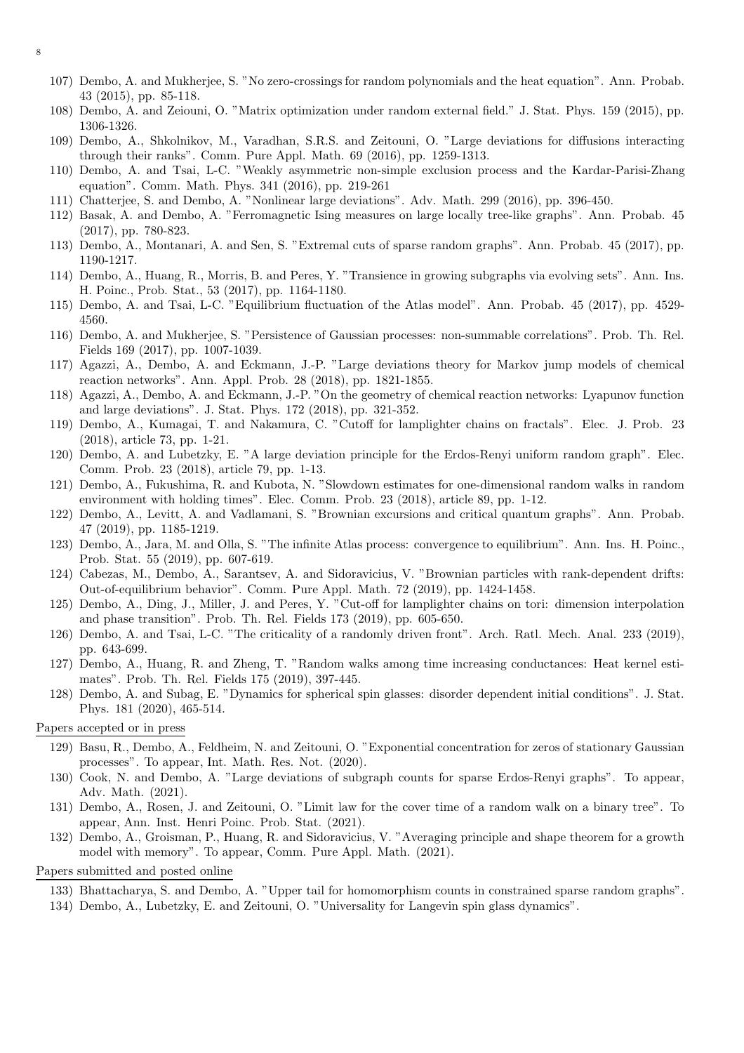8

- 107) Dembo, A. and Mukherjee, S. "No zero-crossings for random polynomials and the heat equation". Ann. Probab. 43 (2015), pp. 85-118.
- 108) Dembo, A. and Zeiouni, O. "Matrix optimization under random external field." J. Stat. Phys. 159 (2015), pp. 1306-1326.
- 109) Dembo, A., Shkolnikov, M., Varadhan, S.R.S. and Zeitouni, O. "Large deviations for diffusions interacting through their ranks". Comm. Pure Appl. Math. 69 (2016), pp. 1259-1313.
- 110) Dembo, A. and Tsai, L-C. "Weakly asymmetric non-simple exclusion process and the Kardar-Parisi-Zhang equation". Comm. Math. Phys. 341 (2016), pp. 219-261
- 111) Chatterjee, S. and Dembo, A. "Nonlinear large deviations". Adv. Math. 299 (2016), pp. 396-450.
- 112) Basak, A. and Dembo, A. "Ferromagnetic Ising measures on large locally tree-like graphs". Ann. Probab. 45 (2017), pp. 780-823.
- 113) Dembo, A., Montanari, A. and Sen, S. "Extremal cuts of sparse random graphs". Ann. Probab. 45 (2017), pp. 1190-1217.
- 114) Dembo, A., Huang, R., Morris, B. and Peres, Y. "Transience in growing subgraphs via evolving sets". Ann. Ins. H. Poinc., Prob. Stat., 53 (2017), pp. 1164-1180.
- 115) Dembo, A. and Tsai, L-C. "Equilibrium fluctuation of the Atlas model". Ann. Probab. 45 (2017), pp. 4529- 4560.
- 116) Dembo, A. and Mukherjee, S. "Persistence of Gaussian processes: non-summable correlations". Prob. Th. Rel. Fields 169 (2017), pp. 1007-1039.
- 117) Agazzi, A., Dembo, A. and Eckmann, J.-P. "Large deviations theory for Markov jump models of chemical reaction networks". Ann. Appl. Prob. 28 (2018), pp. 1821-1855.
- 118) Agazzi, A., Dembo, A. and Eckmann, J.-P. "On the geometry of chemical reaction networks: Lyapunov function and large deviations". J. Stat. Phys. 172 (2018), pp. 321-352.
- 119) Dembo, A., Kumagai, T. and Nakamura, C. "Cutoff for lamplighter chains on fractals". Elec. J. Prob. 23 (2018), article 73, pp. 1-21.
- 120) Dembo, A. and Lubetzky, E. "A large deviation principle for the Erdos-Renyi uniform random graph". Elec. Comm. Prob. 23 (2018), article 79, pp. 1-13.
- 121) Dembo, A., Fukushima, R. and Kubota, N. "Slowdown estimates for one-dimensional random walks in random environment with holding times". Elec. Comm. Prob. 23 (2018), article 89, pp. 1-12.
- 122) Dembo, A., Levitt, A. and Vadlamani, S. "Brownian excursions and critical quantum graphs". Ann. Probab. 47 (2019), pp. 1185-1219.
- 123) Dembo, A., Jara, M. and Olla, S. "The infinite Atlas process: convergence to equilibrium". Ann. Ins. H. Poinc., Prob. Stat. 55 (2019), pp. 607-619.
- 124) Cabezas, M., Dembo, A., Sarantsev, A. and Sidoravicius, V. "Brownian particles with rank-dependent drifts: Out-of-equilibrium behavior". Comm. Pure Appl. Math. 72 (2019), pp. 1424-1458.
- 125) Dembo, A., Ding, J., Miller, J. and Peres, Y. "Cut-off for lamplighter chains on tori: dimension interpolation and phase transition". Prob. Th. Rel. Fields 173 (2019), pp. 605-650.
- 126) Dembo, A. and Tsai, L-C. "The criticality of a randomly driven front". Arch. Ratl. Mech. Anal. 233 (2019), pp. 643-699.
- 127) Dembo, A., Huang, R. and Zheng, T. "Random walks among time increasing conductances: Heat kernel estimates". Prob. Th. Rel. Fields 175 (2019), 397-445.
- 128) Dembo, A. and Subag, E. "Dynamics for spherical spin glasses: disorder dependent initial conditions". J. Stat. Phys. 181 (2020), 465-514.

#### Papers accepted or in press

- 129) Basu, R., Dembo, A., Feldheim, N. and Zeitouni, O. "Exponential concentration for zeros of stationary Gaussian processes". To appear, Int. Math. Res. Not. (2020).
- 130) Cook, N. and Dembo, A. "Large deviations of subgraph counts for sparse Erdos-Renyi graphs". To appear, Adv. Math. (2021).
- 131) Dembo, A., Rosen, J. and Zeitouni, O. "Limit law for the cover time of a random walk on a binary tree". To appear, Ann. Inst. Henri Poinc. Prob. Stat. (2021).
- 132) Dembo, A., Groisman, P., Huang, R. and Sidoravicius, V. "Averaging principle and shape theorem for a growth model with memory". To appear, Comm. Pure Appl. Math. (2021).

Papers submitted and posted online

- 133) Bhattacharya, S. and Dembo, A. "Upper tail for homomorphism counts in constrained sparse random graphs".
- 134) Dembo, A., Lubetzky, E. and Zeitouni, O. "Universality for Langevin spin glass dynamics".